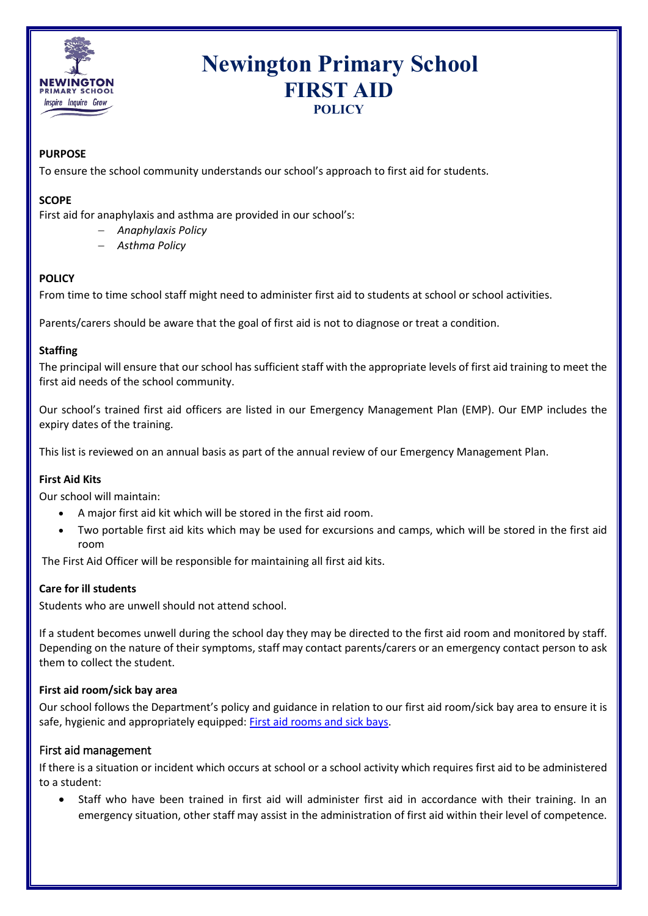

# **Newington Primary School FIRST AID POLICY**

## **PURPOSE**

To ensure the school community understands our school's approach to first aid for students.

#### **SCOPE**

First aid for anaphylaxis and asthma are provided in our school's:

- − *Anaphylaxis Policy*
- − *Asthma Policy*

## **POLICY**

From time to time school staff might need to administer first aid to students at school or school activities.

Parents/carers should be aware that the goal of first aid is not to diagnose or treat a condition.

## **Staffing**

The principal will ensure that our school has sufficient staff with the appropriate levels of first aid training to meet the first aid needs of the school community.

Our school's trained first aid officers are listed in our Emergency Management Plan (EMP). Our EMP includes the expiry dates of the training.

This list is reviewed on an annual basis as part of the annual review of our Emergency Management Plan.

## **First Aid Kits**

Our school will maintain:

- A major first aid kit which will be stored in the first aid room.
- Two portable first aid kits which may be used for excursions and camps, which will be stored in the first aid room

The First Aid Officer will be responsible for maintaining all first aid kits.

## **Care for ill students**

Students who are unwell should not attend school.

If a student becomes unwell during the school day they may be directed to the first aid room and monitored by staff. Depending on the nature of their symptoms, staff may contact parents/carers or an emergency contact person to ask them to collect the student.

#### **First aid room/sick bay area**

Our school follows the Department's policy and guidance in relation to our first aid room/sick bay area to ensure it is safe, hygienic and appropriately equipped: [First aid rooms and sick bays.](https://www2.education.vic.gov.au/pal/first-aid-students-and-staff/guidance/first-aid-rooms-and-sick-bays)

## First aid management

If there is a situation or incident which occurs at school or a school activity which requires first aid to be administered to a student:

• Staff who have been trained in first aid will administer first aid in accordance with their training. In an emergency situation, other staff may assist in the administration of first aid within their level of competence.